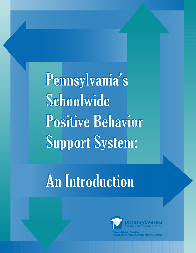Pennsylvania's Schoolwide **Positive Behavior Support System:** 

# **An Introduction**

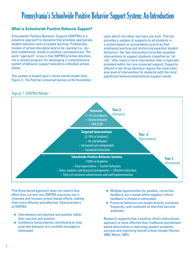# Pennsylvania's Schoolwide Positive Behavior Support System: An Introduction

# **What is Schoolwide Positive Behavior Support?**

Schoolwide Positive Behavior Support (SWPBS) is a proactive approach to discipline that promotes appropriate student behavior and increased learning. Traditionally, models of school discipline tend to be reactive (i.e., student misbehavior results in punitive consequences). The word "approach" is key in that SWPBS provides direction, not a canned program, for developing a comprehensive system of behavior support tailored to individual school needs.

The system is based upon a three-tiered model (See Figure 1). The first tier (universal) serves as the foundation upon which the other two tiers are built. This tier provides a system of supports to all students in a school based on preventative practices that emphasize teaching and reinforcing expected student behaviors. Tier two (secondary) provides targeted interventions to support students classified as "at risk," who require more intervention than is typically provided within tier one universal support. Supports offered in tier three (tertiary) require the most intensive level of intervention for students with the most significant behavioral/emotional support needs.

# *Figure 1: SWPBS Model*



This three-tiered approach does not require less effort than current, non-SWPBS practices, but it channels and focuses school-based efforts, making them more efficient and effective. Characteristics of SWPBS:

- Interventions are planned and positive rather than reactive and punitive
- Conditions (antecedents) contributing to inappropriate behavior are carefully managed or eliminated
- Multiple opportunities for positive, corrective feedback are created while negative critical feedback is limited or eliminated
- Prosocial behaviors are taught directly, practiced frequently, and routinized so that they become automatic

Research supports that a positive, direct instructional approach is more effective than traditional punishmentbased alternatives in improving student academic success and improving overall school climate (Horner, 2000; Myers, 2001).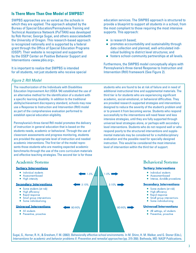# **Is There More Than One Model of SWPBS?**

SWPBS approaches are as varied as the schools in which they are applied. The approach adopted by the Bureau of Special Education/Pennsylvania Training and Technical Assistance Network (PaTTAN) was developed by Rob Horner, George Sugai, and others associatedwith the University of Oregon. This research-based approach is recognized nationally and is supported by a federal grant through the Office of Special Education Programs (OSEP). Their website is recognized and supported by the OSEP Center on Positive Behavior Support and Interventions <www.pbis.org>.

It is important to realize that SWPBS is intended for all students, not just students who receive special education services. The SWPBS approach is structured to provide a blueprint to support all students in a school, from the most compliant to those requiring the most intensive supports. This approach:

- is research based;
- promotes accountability and sustainability through data collection and planned, well-articulated individual building to district level structures; and
- fosters school-community partnerships at all levels.

Furthermore, the SWPBS model conceptually aligns with Pennsylvania's three-tiered Response to Instruction and Intervention (RtII) framework (See Figure 2).

## *Figure 2: RtII Model*

The reauthorization of the Individuals with Disabilities Education Improvement Act (IDEA '04) established the use of an alternative method for the identification of a student with a specific learning disability. In addition to the traditional ability/achievement discrepancy standard, schools may now use a Response to Instruction and Intervention (RtII) model as part of the comprehensive evaluation performed to establish special education eligibility.

Pennsylvania's three-tiered RtII model promotes the delivery of instruction in general education that is based on the students needs, academic or behavioral. Through the use of classroom assessments and progress monitoring, students are provided the appropriate level of instruction and needed academic interventions. The first tier of the model represents those students who are meeting expected academic benchmarks through the use of the core curriculum materials and effective teaching strategies. The second tier is for those

students who are found to be at risk of failure and in need of additional instructional time and supplemental materials. The third tier is for students who are experiencing significant academic, social-emotional, or behavioral difficulties. They are provided research-supported strategies and interventions designed to reduce the severity of the student's problem and/ or to prevent it from becoming worse. Students who respond successfully to the interventions will need fewer and less intensive strategies, until they are fully supported through universal level strategies alone, or perhaps with secondary level interventions. Students who do not respond well or who respond poorly to the structured interventions and supplemental materials may be considered for a multidisciplinary evaluation and the possible need for specially-designed instruction. This would be considered the most intensive level of intervention within the third tier of support.

# **Academic Systems**

#### **Tertiary Interventions**

- · Individual students
- $\bullet$ Assessment-based
- High intensity

#### **Secondary Interventions**

- Some students (at risk)
- High efficiency  $\bullet$
- Rapid response  $\bullet$
- Small group interventions
- Some individualizing

#### **Universal Interventions**

- All students
- Preventive, proactive

 $1 - 5%$  $1 - 5%$ 5-10% 5-10% | 80-90% 80-90% ■

# **Behavioral Systems**

#### **Tertiary Interventions**

- · Individual students
- Assessment-based
- Intense, durable procedures

#### **Secondary Interventions**

- Some students (at risk)
- · High efficiency
- Rapid response  $\bullet$
- Small group interventions
- Some individualizing

#### **Universal Interventions**

- All settings, all students
- Preventive, proactive

Sugai, G., Horner, R. H., & Gresham, F. M. (2002). Behaviorally effective school environments. In M. Shinn, H. M. Walker, and G. Stoner (Eds.), *Interventions for academic and behavior problems II: Preventive and remedial approaches* (pp. 315-350). Bethesda, MD: NASP Publications.